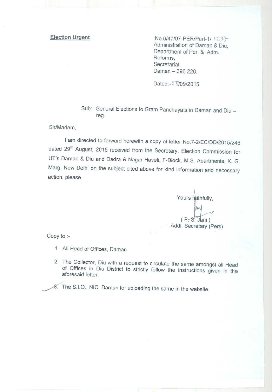**Election Urgent** No.6/47/97-PER/Part-1/ / STO Administration of Daman & Diu, Department of Per. & Adm. Reforms, Secretariat, Daman - 396 220.

Dated: - 0 8/09/2015.

Sub:- General Elections to Gram Panchayats in Daman and Diu reg.

Sir/Madam,

I am directed to forward herewith a copy of letter No.7-2/EC/DD/2015/246 dated 29<sup>th</sup> August, 2015 received from the Secretary, Election Commission for UT's Daman & Diu and Dadra & Nagar Haveli, F-Block, M.S. Apartments, K. G. Marg, New Delhi on the subject cited above for kind information and necessary action, please.

Yours faithfully,  $(P-S.$  Jani) Addl. Secretary (Pers)

Copy to :-

- 1. All Head of Offices, Daman
- 2. The Collector, Diu with a request to circulate the same amongst all Head of Offices in Diu District to strictly follow the instructions given in the aforesaid letter.

^/3 The S.I.O., NIC, **Daman for uploading the same in the website.**